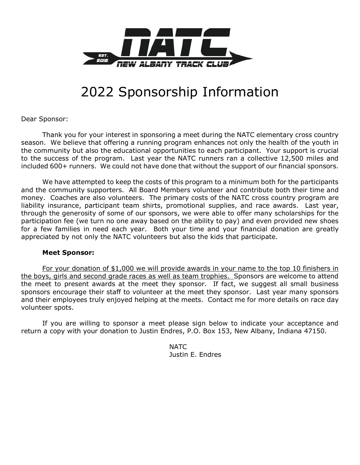

## 2022 Sponsorship Information

Dear Sponsor:

Thank you for your interest in sponsoring a meet during the NATC elementary cross country season. We believe that offering a running program enhances not only the health of the youth in the community but also the educational opportunities to each participant. Your support is crucial to the success of the program. Last year the NATC runners ran a collective 12,500 miles and included 600+ runners. We could not have done that without the support of our financial sponsors.

We have attempted to keep the costs of this program to a minimum both for the participants and the community supporters. All Board Members volunteer and contribute both their time and money. Coaches are also volunteers. The primary costs of the NATC cross country program are liability insurance, participant team shirts, promotional supplies, and race awards. Last year, through the generosity of some of our sponsors, we were able to offer many scholarships for the participation fee (we turn no one away based on the ability to pay) and even provided new shoes for a few families in need each year. Both your time and your financial donation are greatly appreciated by not only the NATC volunteers but also the kids that participate.

## **Meet Sponsor:**

For your donation of \$1,000 we will provide awards in your name to the top 10 finishers in the boys, girls and second grade races as well as team trophies. Sponsors are welcome to attend the meet to present awards at the meet they sponsor. If fact, we suggest all small business sponsors encourage their staff to volunteer at the meet they sponsor. Last year many sponsors and their employees truly enjoyed helping at the meets. Contact me for more details on race day volunteer spots.

If you are willing to sponsor a meet please sign below to indicate your acceptance and return a copy with your donation to Justin Endres, P.O. Box 153, New Albany, Indiana 47150.

> NATC Justin E. Endres